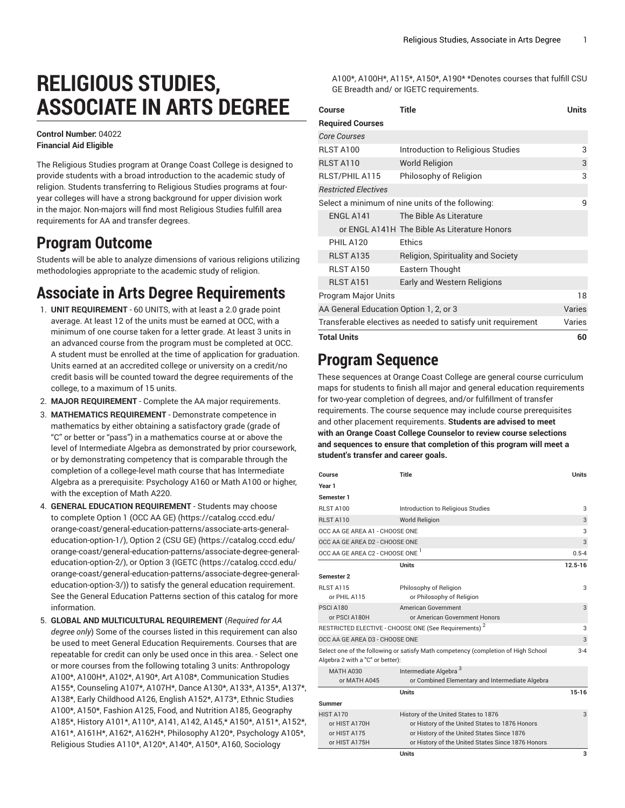# **RELIGIOUS STUDIES, ASSOCIATE IN ARTS DEGREE**

#### **Control Number:** 04022 **Financial Aid Eligible**

The Religious Studies program at Orange Coast College is designed to provide students with a broad introduction to the academic study of religion. Students transferring to Religious Studies programs at fouryear colleges will have a strong background for upper division work in the major. Non-majors will find most Religious Studies fulfill area requirements for AA and transfer degrees.

#### **Program Outcome**

Students will be able to analyze dimensions of various religions utilizing methodologies appropriate to the academic study of religion.

## **Associate in Arts Degree Requirements**

- 1. **UNIT REQUIREMENT** 60 UNITS, with at least a 2.0 grade point average. At least 12 of the units must be earned at OCC, with a minimum of one course taken for a letter grade. At least 3 units in an advanced course from the program must be completed at OCC. A student must be enrolled at the time of application for graduation. Units earned at an accredited college or university on a credit/no credit basis will be counted toward the degree requirements of the college, to a maximum of 15 units.
- 2. **MAJOR REQUIREMENT** Complete the AA major requirements.
- 3. **MATHEMATICS REQUIREMENT** Demonstrate competence in mathematics by either obtaining a satisfactory grade (grade of "C" or better or "pass") in a mathematics course at or above the level of Intermediate Algebra as demonstrated by prior coursework, or by demonstrating competency that is comparable through the completion of a college-level math course that has Intermediate Algebra as a prerequisite: Psychology A160 or Math A100 or higher, with the exception of Math A220.
- 4. **GENERAL EDUCATION REQUIREMENT** Students may choose to complete [Option 1 \(OCC AA GE\)](https://catalog.cccd.edu/orange-coast/general-education-patterns/associate-arts-general-education-option-1/) [\(https://catalog.cccd.edu/](https://catalog.cccd.edu/orange-coast/general-education-patterns/associate-arts-general-education-option-1/) [orange-coast/general-education-patterns/associate-arts-general](https://catalog.cccd.edu/orange-coast/general-education-patterns/associate-arts-general-education-option-1/)[education-option-1/\)](https://catalog.cccd.edu/orange-coast/general-education-patterns/associate-arts-general-education-option-1/), [Option 2 \(CSU GE\)](https://catalog.cccd.edu/orange-coast/general-education-patterns/associate-degree-general-education-option-2/) ([https://catalog.cccd.edu/](https://catalog.cccd.edu/orange-coast/general-education-patterns/associate-degree-general-education-option-2/) [orange-coast/general-education-patterns/associate-degree-general](https://catalog.cccd.edu/orange-coast/general-education-patterns/associate-degree-general-education-option-2/)[education-option-2/\)](https://catalog.cccd.edu/orange-coast/general-education-patterns/associate-degree-general-education-option-2/), or [Option](https://catalog.cccd.edu/orange-coast/general-education-patterns/associate-degree-general-education-option-3/) 3 (IGETC [\(https://catalog.cccd.edu/](https://catalog.cccd.edu/orange-coast/general-education-patterns/associate-degree-general-education-option-3/) [orange-coast/general-education-patterns/associate-degree-general](https://catalog.cccd.edu/orange-coast/general-education-patterns/associate-degree-general-education-option-3/)[education-option-3/\)](https://catalog.cccd.edu/orange-coast/general-education-patterns/associate-degree-general-education-option-3/)) to satisfy the general education requirement. See the General Education Patterns section of this catalog for more information.
- 5. **GLOBAL AND MULTICULTURAL REQUIREMENT** (*Required for AA degree only*) Some of the courses listed in this requirement can also be used to meet General Education Requirements. Courses that are repeatable for credit can only be used once in this area. - Select one or more courses from the following totaling 3 units: Anthropology A100\*, A100H\*, A102\*, A190\*, Art A108\*, Communication Studies A155\*, Counseling A107\*, A107H\*, Dance A130\*, A133\*, A135\*, A137\*, A138\*, Early Childhood A126, English A152\*, A173\*, Ethnic Studies A100\*, A150\*, Fashion A125, Food, and Nutrition A185, Geography A185\*, History A101\*, A110\*, A141, A142, A145,\* A150\*, A151\*, A152\*, A161\*, A161H\*, A162\*, A162H\*, Philosophy A120\*, Psychology A105\*, Religious Studies A110\*, A120\*, A140\*, A150\*, A160, Sociology

A100\*, A100H\*, A115\*, A150\*, A190\* \*Denotes courses that fulfill CSU GE Breadth and/ or IGETC requirements.

| Course                                                       | Title                                            | <b>Units</b> |
|--------------------------------------------------------------|--------------------------------------------------|--------------|
| <b>Required Courses</b>                                      |                                                  |              |
| <b>Core Courses</b>                                          |                                                  |              |
| <b>RLST A100</b>                                             | Introduction to Religious Studies                | 3            |
| RLST A110                                                    | <b>World Religion</b>                            | 3            |
| RLST/PHIL A115                                               | Philosophy of Religion                           | 3            |
| <b>Restricted Electives</b>                                  |                                                  |              |
|                                                              | Select a minimum of nine units of the following: | q            |
| ENGL A141                                                    | The Bible As Literature                          |              |
|                                                              | or ENGL A141H The Bible As Literature Honors     |              |
| <b>PHIL A120</b>                                             | Ethics                                           |              |
| <b>RLST A135</b>                                             | Religion, Spirituality and Society               |              |
| <b>RLST A150</b>                                             | Eastern Thought                                  |              |
| <b>RLST A151</b>                                             | <b>Early and Western Religions</b>               |              |
| <b>Program Major Units</b>                                   |                                                  | 18           |
| AA General Education Option 1, 2, or 3                       |                                                  | Varies       |
| Transferable electives as needed to satisfy unit requirement |                                                  | Varies       |
| <b>Total Units</b>                                           |                                                  | 60           |

### **Program Sequence**

These sequences at Orange Coast College are general course curriculum maps for students to finish all major and general education requirements for two-year completion of degrees, and/or fulfillment of transfer requirements. The course sequence may include course prerequisites and other placement requirements. **Students are advised to meet with an Orange Coast College Counselor to review course selections and sequences to ensure that completion of this program will meet a student's transfer and career goals.**

| Course                                                                                                                           | <b>Title</b>                                        | <b>Units</b> |  |
|----------------------------------------------------------------------------------------------------------------------------------|-----------------------------------------------------|--------------|--|
| Year 1                                                                                                                           |                                                     |              |  |
| Semester 1                                                                                                                       |                                                     |              |  |
| RLST A100                                                                                                                        | Introduction to Religious Studies                   | 3            |  |
| <b>RLST A110</b>                                                                                                                 | <b>World Religion</b>                               | 3            |  |
| OCC AA GE AREA A1 - CHOOSE ONE                                                                                                   |                                                     |              |  |
| OCC AA GE AREA D2 - CHOOSE ONE                                                                                                   |                                                     |              |  |
| OCC AA GE AREA C2 - CHOOSE ONE <sup>1</sup>                                                                                      |                                                     |              |  |
|                                                                                                                                  | <b>Units</b>                                        | $12.5 - 16$  |  |
| Semester 2                                                                                                                       |                                                     |              |  |
| <b>RLST A115</b><br>or PHIL A115                                                                                                 | Philosophy of Religion<br>or Philosophy of Religion | 3            |  |
| <b>PSCI A180</b>                                                                                                                 | American Government                                 | 3            |  |
| or PSCI A180H                                                                                                                    | or American Government Honors                       |              |  |
| RESTRICTED ELECTIVE - CHOOSE ONE (See Requirements) <sup>2</sup>                                                                 |                                                     |              |  |
| OCC AA GE AREA D3 - CHOOSE ONE                                                                                                   |                                                     |              |  |
| Select one of the following or satisfy Math competency (completion of High School<br>$3 - 4$<br>Algebra 2 with a "C" or better): |                                                     |              |  |
| <b>MATH A030</b>                                                                                                                 | Intermediate Algebra <sup>3</sup>                   |              |  |
| or MATH A045                                                                                                                     | or Combined Elementary and Intermediate Algebra     |              |  |
|                                                                                                                                  | <b>Units</b>                                        | $15 - 16$    |  |
| Summer                                                                                                                           |                                                     |              |  |
| <b>HIST A170</b>                                                                                                                 | History of the United States to 1876                | 3            |  |
| or HIST A170H                                                                                                                    | or History of the United States to 1876 Honors      |              |  |
| or HIST A175                                                                                                                     | or History of the United States Since 1876          |              |  |
| or HIST A175H                                                                                                                    | or History of the United States Since 1876 Honors   |              |  |
|                                                                                                                                  | <b>Units</b>                                        | 3            |  |